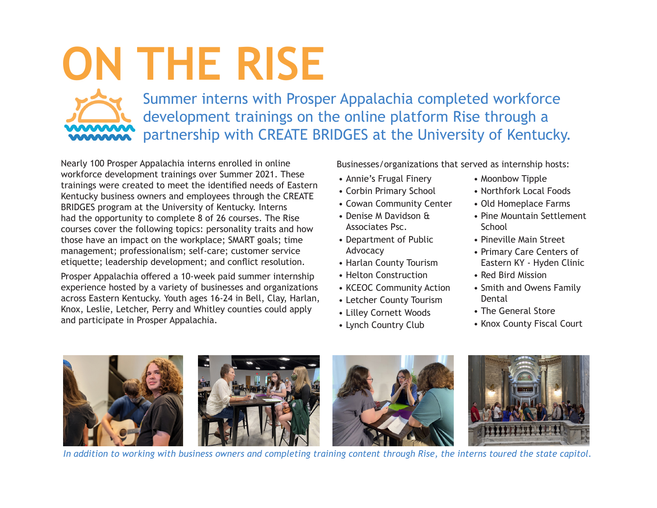## **ON THE RISE**

Summer interns with Prosper Appalachia completed workforce development trainings on the online platform Rise through a partnership with CREATE BRIDGES at the University of Kentucky.

Nearly 100 Prosper Appalachia interns enrolled in online workforce development trainings over Summer 2021. These trainings were created to meet the identified needs of Eastern Kentucky business owners and employees through the CREATE BRIDGES program at the University of Kentucky. Interns had the opportunity to complete 8 of 26 courses. The Rise courses cover the following topics: personality traits and how those have an impact on the workplace; SMART goals; time management; professionalism; self-care; customer service etiquette; leadership development; and conflict resolution.

Prosper Appalachia offered a 10-week paid summer internship experience hosted by a variety of businesses and organizations across Eastern Kentucky. Youth ages 16-24 in Bell, Clay, Harlan, Knox, Leslie, Letcher, Perry and Whitley counties could apply and participate in Prosper Appalachia.

Businesses/organizations that served as internship hosts:

- Annie's Frugal Finery
- Corbin Primary School
- Cowan Community Center
- Denise M Davidson & Associates Psc.
- Department of Public Advocacy
- Harlan County Tourism
- Helton Construction
- KCEOC Community Action
- Letcher County Tourism
- Lilley Cornett Woods
- Lynch Country Club
- Moonbow Tipple
- Northfork Local Foods
- Old Homeplace Farms
- Pine Mountain Settlement School
- Pineville Main Street
- Primary Care Centers of Eastern KY - Hyden Clinic
- Red Bird Mission
- Smith and Owens Family Dental
- The General Store
- Knox County Fiscal Court



*In addition to working with business owners and completing training content through Rise, the interns toured the state capitol.*